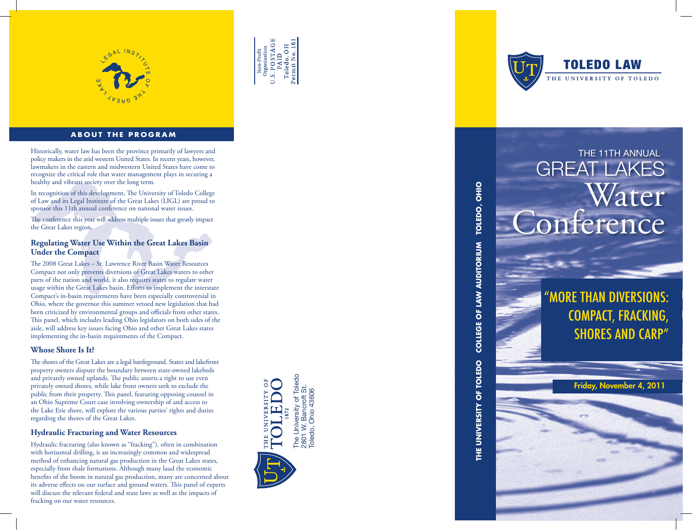

# **ABOUT THE PROGRAM**

Historically, water law has been the province primarily of lawyers and **THE 11TH ANNUAL** policy makers in the arid western United States. In recent years, however, lawmakers in the eastern and midwestern United States have come to recognize the critical role that water management plays in securing a healthy and vibrant society over the long term.

In recognition of this development, The University of Toledo College of Law and its Legal Institute of the Great Lakes (LIGL) are proud to sponsor this 11th annual conference on national water issues.

The conference this year will address multiple issues that greatly impact the Great Lakes region.

# **Regulating Water Use Within the Great Lakes Basin Under the Compact**

The 2008 Great Lakes – St. Lawrence River Basin Water Resources Compact not only prevents diversions of Great Lakes waters to other parts of the nation and world, it also requires states to regulate water usage within the Great Lakes basin. Efforts to implement the interstate Compact's in-basin requirements have been especially controversial in Ohio, where the governor this summer vetoed new legislation that had been criticized by environmental groups and officials from other states. This panel, which includes leading Ohio legislators on both sides of the aisle, will address key issues facing Ohio and other Great Lakes states implementing the in-basin requirements of the Compact.

# **Whose Shore Is It?**

The shores of the Great Lakes are a legal battleground. States and lakefront property owners dispute the boundary between state-owned lakebeds and privately owned uplands. The public asserts a right to use even privately owned shores, while lake front owners seek to exclude the public from their property. This panel, featuring opposing counsel in an Ohio Supreme Court case involving ownership of and access to the Lake Erie shore, will explore the various parties' rights and duties regarding the shores of the Great Lakes.

# **Hydraulic Fracturing and Water Resources**

Hydraulic fracturing (also known as "fracking"), often in combination with horizontal drilling, is an increasingly common and widespread method of enhancing natural gas production in the Great Lakes states, especially from shale formations. Although many laud the economic benefits of the boom in natural gas production, many are concerned about its adverse effects on our surface and ground waters. This panel of experts will discuss the relevant federal and state laws as well as the impacts of fracking on our water resources.



 $\begin{tabular}{c} Non-Profit \\ Organization \\ U.S. PO STAGE \\ PAND \end{tabular}$ 

Toledo, OH<br>Permit No. 16



# TOLEDO, OHIO **THE UNIVERSITY OF TOLEDO COLLEGE OF LAW AUDITORIUM TOLEDO, OHIO** COLLEGE OF LAW AUDITORIUM THE UNIVERSITY OF TOLEDO

# GREAT LAKES Water onference

"More than Diversions: Compact, Fracking, **SHORES AND CARP"** 

Friday, November 4, 2011